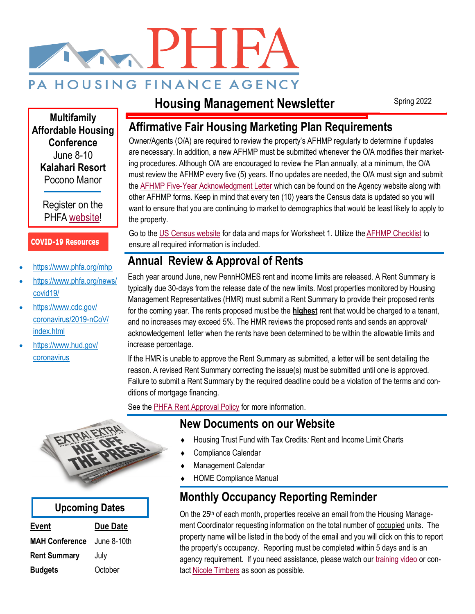# PHE PA HOUSING FINANCE AGENCY

# **Housing Management Newsletter**

Spring 2022

**Multifamily Affordable Housing Conference** June 8-10 **Kalahari Resort** Pocono Manor

> Register on the PHFA [website!](https://www.phfa.org/forms/housing_services/event_materials/2022_conference/2022-mahc-brochure.pdf)

#### **COVID-19 Resources**

- <https://www.phfa.org/mhp>
- [https://www.phfa.org/news/](https://www.phfa.org/news/covid19/) [covid19/](https://www.phfa.org/news/covid19/)
- [https://www.cdc.gov/](https://www.cdc.gov/coronavirus/2019-nCoV/index.html) [coronavirus/2019-nCoV/](https://www.cdc.gov/coronavirus/2019-nCoV/index.html) [index.html](https://www.cdc.gov/coronavirus/2019-nCoV/index.html)
- [https://www.hud.gov/](http://www.Hud.gov/coronavirus) [coronavirus](http://www.Hud.gov/coronavirus)

### **Affirmative Fair Housing Marketing Plan Requirements**

Owner/Agents (O/A) are required to review the property's AFHMP regularly to determine if updates are necessary. In addition, a new AFHMP must be submitted whenever the O/A modifies their marketing procedures. Although O/A are encouraged to review the Plan annually, at a minimum, the O/A must review the AFHMP every five (5) years. If no updates are needed, the O/A must sign and submit the [AFHMP Five-Year Acknowledgment Letter](https://www.phfa.org/forms/housing_management/agency_financed/manuals_and_documents/exhibits/hm_afhmp_acknowledgement_letter.pdf) which can be found on the Agency website along with other AFHMP forms. Keep in mind that every ten (10) years the Census data is updated so you will want to ensure that you are continuing to market to demographics that would be least likely to apply to the property.

Go to the [US Census website](https://www.census.gov/) for data and maps for Worksheet 1. Utilize the [AFHMP Checklist](https://www.phfa.org/forms/housing_management/agency_financed/manuals_and_documents/management_document_checklists/afhmp-checklist.pdf) to ensure all required information is included.

## **Annual Review & Approval of Rents**

Each year around June, new PennHOMES rent and income limits are released. A Rent Summary is typically due 30-days from the release date of the new limits. Most properties monitored by Housing Management Representatives (HMR) must submit a Rent Summary to provide their proposed rents for the coming year. The rents proposed must be the **highest** rent that would be charged to a tenant, and no increases may exceed 5%. The HMR reviews the proposed rents and sends an approval/ acknowledgement letter when the rents have been determined to be within the allowable limits and increase percentage.

If the HMR is unable to approve the Rent Summary as submitted, a letter will be sent detailing the reason. A revised Rent Summary correcting the issue(s) must be submitted until one is approved. Failure to submit a Rent Summary by the required deadline could be a violation of the terms and conditions of mortgage financing.

See the [PHFA Rent Approval Policy](https://www.phfa.org/forms/housing_management/agency_financed/manuals_and_documents/chapters/hm-ph-chapter20.pdf) for more information.

### **New Documents on our Website**

- Housing Trust Fund with Tax Credits*:* Rent and Income Limit Charts
- Compliance Calendar
- Management Calendar
- HOME Compliance Manual

### **Monthly Occupancy Reporting Reminder**

On the 25<sup>th</sup> of each month, properties receive an email from the Housing Management Coordinator requesting information on the total number of occupied units. The property name will be listed in the body of the email and you will click on this to report the property's occupancy. Reporting must be completed within 5 days and is an agency requirement. If you need assistance, please watch our [training video](https://youtu.be/91uHBgVt4iE) or contact [Nicole Timbers](mailto:ntimbers@phfa.org?subject=Occupancy%20Reporting) as soon as possible.



#### **Upcoming Dates**

| Event                 | <b>Due Date</b> |
|-----------------------|-----------------|
| <b>MAH Conference</b> | June 8-10th     |
| <b>Rent Summary</b>   | July            |
| <b>Budgets</b>        | October         |